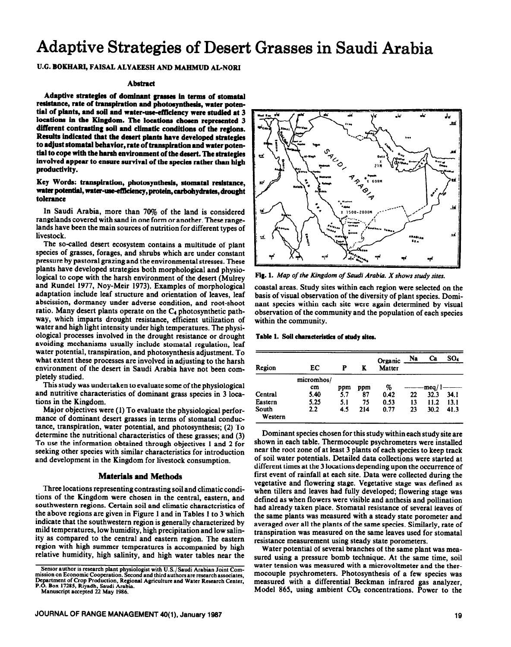# **Adaptive Strategies of Desert Grasses in Saudi Arabia**

U.G. BOKHARI, FAISAL ALYAEESH AND MAHMUD AL-NORI

#### **Abstract**

**Adaptive strategies of dominant grasses in terms of stomataI**  resistance, rate of transpiration and photosynthesis, water potential of plants, and soil and water-use-efficiency were studied at 3 **locations in the Kingdom. The locations cboeea represented 3 different contrasting roil and climatic conditions of the regions. Results indicated that tbe desert plants have developed strategies to adjust stomata1 behavior, rate of transpiration and water potential to cope with the barsb environment of the desert. The strategies**  involved appear to ensure survival of the species rather than high **productivity.** 

### **Key Words: transpiration, photosynthesis, stonutal resistance,**  water potential, water-use-efficiency, protein, carbohydrates, drought **tolerance**

**In** Saudi Arabia, more than 70% of the land is considered rangelands covered with sand in one form or another. These rangelands have been the main sources of nutrition for different types of livestock.

The so-called desert ecosystem contains a multitude of plant species of grasses, forages, and shrubs which are under constant pressure by pastoral grazing and the environmental stresses. These plants have developed strategies both morphological and physiological to cope with the harsh environment of the desert (Mulrey and Rundel 1977, Noy-Mcir 1973). Examples of morphological adaptation include leaf structure and orientation of leaves, leaf abscission, dormancy under adverse condition, and root-shoot ratio. Many desert plants operate on the  $C_4$  photosynthetic pathway, which imparts drought resistance, efficient utilization of water and high light intensity under high temperatures. The physiological processes involved in the drought resistance or drought avoiding mechanisms usually include stomatal regulation, leaf water potential, transpiration, and photosynthesis adjustment. To what extent these processes are involved in adjusting to the harsh environment of the desert in Saudi Arabia have not been completely studied.

This study was undertaken to evaluate some of the physiological and nutritive characteristics of dominant grass species in 3 locations in the Kingdom.

Major objectives were (1) To evaluate the physiological performance of dominant desert grasses in terms of stomatal conductance, transpiration, water potential, and photosynthesis; (2) To determine the nutritional characteristics of these grasses; and (3) To use the information obtained through objectives 1 and 2 for seeking other species with similar characteristics for introduction and development in the Kingdom for livestock consumption.

## **Materials and Methods**

**Three** locations representing contrasting soil and climatic conditions of the Kingdom were chosen in the central, eastern, and southwestern regions. Certain soil and climatic characteristics of the above regions are given in Figure 1 and in Tables 1 to 3 which indicate that the southwestern region is generally characterized by mild temperatures, low humidity, high precipitation and low salinity as compared to the central and eastern region. The eastern region with high summer temperatures is accompanied by high relative humidity, high salinity, and high water tables near the



Fig. 1. Map of the Kingdom of Saudi Arabia. X shows study sites.

coastal areas. Study sites within each region were selected on the basis of visual observation of the diversity of plant species. Dominant species within each site were again determined by visual observation of the community and the population of each species within the community.

Table 1. Soil characteristics of study sites.

| Region           | EC               | P   | K   | Organic<br>Matter | Na | Ca    | $SO_4$ |
|------------------|------------------|-----|-----|-------------------|----|-------|--------|
|                  | micromhos/<br>cm | ppm | ppm | %                 |    | meq/1 |        |
| Central          | 5.40             | 5.7 | 87  | 0.42              | 22 | 32.3  | 34.1   |
| Eastern          | 5.25             | 5.1 | 75  | 0.53              | 13 | 11.2  | 13.1   |
| South<br>Western | $2.2\,$          | 4.5 | 214 | 0.77              | 23 | 30.2  | 41.3   |

Dominant species chosen for this study within each study site are shown in each table. Thermocouple psychrometers were installed near the root zone of at least 3 plants of each species to keep track of soil water potentials. Detailed data collections were started at different times at the 3 locations depending upon the **occurrence of first event of rainfall at each site. Data were collected during the vegetative and flowering stage. Vegetative stage was defined as when tillers and leaves had fully developed; flowering stage was defined as when flowers were visible and anthesis and pollination had already taken place. Stomata1 resistance of several leaves of the same plants was measured with a steady state porometer and averaged over all the plants of the same species. Similarly, rate of transpiration was measured on the same leaves used for stomata1 resistance measurement using steady state porometers.** 

**Water potential of several branches of the same plant was measured using a pressure bomb technique. At the same time, soil water tension was measured with a microvoltmeter and the thermocouple psychrometers. Photosynthesis of a few species was measured with a differential Beckman infrared gas analyzer,**  Model 865, using ambient CO<sub>2</sub> concentrations. Power to the

**Senior author is research plant physiologist with U.S./Saudi Arabian Joint Commission on Economic Cooperation. Second and third authors are research associates,**  Department of Crop Production, Regional Agriculture and Water Research Center,

**P. 8"**  . Box **17285, Riyadh, Saudi Arabia. Manuscript accepted 22 May 1986.**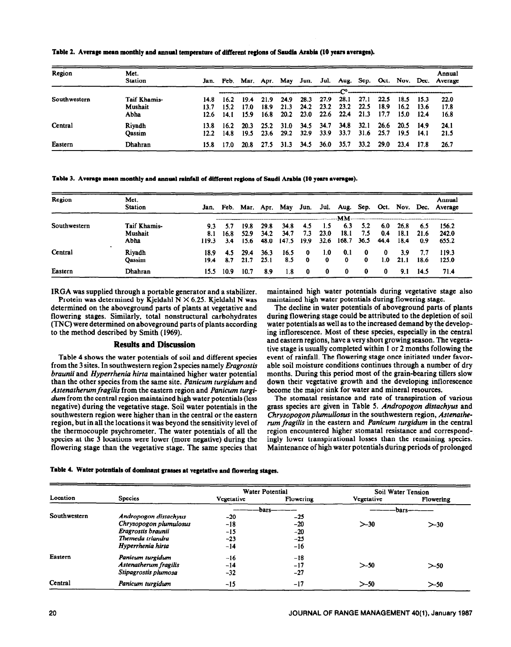| Region       | Met.<br><b>Station</b>          |                            |                           |                      |                      |                      |                      |                      |                      |                      |                      |                      |                      | Annual<br>Jan. Feb. Mar. Apr. May Jun. Jul. Aug. Sep. Oct. Nov. Dec. Average |  |
|--------------|---------------------------------|----------------------------|---------------------------|----------------------|----------------------|----------------------|----------------------|----------------------|----------------------|----------------------|----------------------|----------------------|----------------------|------------------------------------------------------------------------------|--|
|              |                                 |                            |                           |                      |                      |                      |                      |                      |                      |                      |                      |                      |                      |                                                                              |  |
| Southwestern | Taif Khamis-<br>Mushait<br>Abha | 14.8<br>13.7<br>12.6       | 16.2<br>152<br>14. I      | 19.4<br>17.0<br>15.9 | 21.9<br>18.9<br>16.8 | 24.9<br>21.3<br>20.2 | 28.3<br>24.2<br>23.0 | 27.9<br>23.2<br>22.6 | 28.1<br>23.2<br>22.4 | 27.1<br>22.5<br>21.3 | 22.5<br>18.9<br>17.7 | 18.5<br>16.2<br>15.0 | 15.3<br>13.6<br>12.4 | 22.0<br>17.8<br>16.8                                                         |  |
| Central      | Riyadh<br>Qassim                | 13.8.<br>12.2 <sub>1</sub> | 16.2 <sub>1</sub><br>14.8 | 20.3<br>19.5         | 25.2<br>23.6         | 31.0<br>29.2         | 34.5<br>32.9         | 34.7<br>33.9         | 34.8<br>33.7         | 32.1<br>31.6         | 26.6<br>25.7         | 20.5<br>19.5         | <b>14.9</b><br>14.1  | 24.1<br>21.5                                                                 |  |
| Eastern      | Dhahran                         | 15.8                       | 17.0                      | 20.8                 | 27.5                 | 31.3                 | 34.5                 | 36.0                 | 35.7                 | 33.2                 | <b>29.0</b>          | 23.4                 | 17.8                 | 26.7                                                                         |  |

Table 2. Average mean monthly and annual temperature of different regions of Saudia Arabia (10 years averages).

Table 3. Average mean monthly and annual rainfall of different regions of Saudi Arabia (10 years averages).

| Region       | Met.<br><b>Station</b> |       |      | Jan. Feb. Mar. Apr. |      | May   | Jun.        |         |       |          |      |      |      | Annual<br>Jul. Aug. Sep. Oct. Nov. Dec. Average |
|--------------|------------------------|-------|------|---------------------|------|-------|-------------|---------|-------|----------|------|------|------|-------------------------------------------------|
|              |                        |       |      |                     |      |       |             |         | $-mM$ |          |      |      |      |                                                 |
| Southwestern | <b>Taif Khamis-</b>    | 9.3   |      | 19.8                | 29.8 | 34.8  | 4.5         | $1.5\,$ | 6.3   | 5.2      | 6.0  | 26.8 | 6.5  | 156.2                                           |
|              | Mushait                | 8.1   | 16.8 | 52.9                | 34.2 | 34.7  | 7.3         | 23.0    | 18.1  | 7.5      | 0.4  | 18.1 | 21.6 | 242.0                                           |
|              | Abha                   | 119.3 | 3.4  | 15.6                | 48.0 | 147.5 | - 19.9      | 32.6    | 168.7 | 36.5     | 44.4 | 18.4 | 0.9  | 655.2                                           |
| Central      | Riyadh                 | 18.9  | 4.5  | 29.4                | 36.3 | 16.5  | 0           | 1.0     | 0.1   | $\bf{0}$ | 0    | 3.9  | 7.7  | 119.3                                           |
|              | Qassim                 | 19.4  | 8.7  | 21.7                | 25.1 | 8.5   | $\mathbf 0$ | 0       | 0     | 0        | 1.0  | 21.1 | 18.6 | 125.0                                           |
| Eastern      | Dhahran                | 15.5  | 10.9 | 10.7                | 8.9  | 1.8   | 0           | 0       | 0     | $\bf{0}$ | 0    | 9.1  | 14.5 | 71.4                                            |

IRGA was supplied through a portable generator and a stabilizer.

Protein was determined by Kjeldahl N  $\times$  6.25. Kjeldahl N was determined on the aboveground parts of plants at vegetative and flowering stages. Similarly, total nonstructural carbohydrates (TNC) were determined on aboveground parts of plants according to the method described by Smith (1969).

#### **Results and Discussion**

Table 4 shows the water potentials of soil and different species from the 3 sites. In southwestern region 2 species namely *Eragrostis braunii* and *Hyperrhenia hirta* maintained higher water potential than the other species from the same site. *Panicum turgidum* and *Astemztherum fragilis* from the eastern region and *Panicum turgi*dum from the central region maintained high water potentials (less negative) during the vegetative stage. Soil water potentials in the southwestern region were higher than in the central or the eastern region, but in all the locations it was beyond the sensitivity level of the thermocouple psychrometer. The water potentials of all the species at the 3 locations were lower (more negative) during the flowering stage than the vegetative stage. The same species that maintained high water potentials during vegetative stage also maintained high water potentials during flowering stage.

The decline in water potentials of aboveground parts of plants during flowering stage could be attributed to the depletion of soil water potentials as well as to the increased demand by the developing inflorescence. Most of these species, especially in the central and eastern regions, have a very short growing season. The vegetative stage is usually completed within 1 or 2 months following the event of rainfall. The flowering stage once initiated under favorable soil moisture conditions continues through a number of dry months. During this period most of the grain-bearing tillers slow down their vegetative growth and the developing inflorescence become the major sink for water and mineral resources.

The stomatal resistance and rate of transpiration of various grass species are given in Table 5. *Andropogon distachyus* and *Chrysopogon plumullosus* in the southwestern region, *Astenatherum fragilis* in the eastern and *Panicum turgidum* in the central region encountered higher stomatal resistance and correspondingly lower transpirational losses than the remaining species. Maintenance of high water potentials during periods of prolonged

|  | Table 4. Water potentials of dominant grasses at vegetative and flowering stages |
|--|----------------------------------------------------------------------------------|
|--|----------------------------------------------------------------------------------|

|              |                        |            | <b>Water Potential</b> | Soil Water Tension |           |  |
|--------------|------------------------|------------|------------------------|--------------------|-----------|--|
| Location     | <b>Species</b>         | Vegetative | Flowering              | Vegetative         | Flowering |  |
|              |                        |            | bars                   | bars               |           |  |
| Southwestern | Andropogon distachyus  | $-20$      | $-25$                  |                    |           |  |
|              | Chrysopogon plumulosus | $-18$      | $-20$                  | >30                | $> -30$   |  |
|              | Eragrostis braunii     | $-15$      | $-20$                  |                    |           |  |
|              | Themeda triandra       | $-23$      | $-25$                  |                    |           |  |
|              | Hyperrhenia hirta      | -14        | $-16$                  |                    |           |  |
| Eastern      | Panicum turgidum       | $-16$      | $-18$                  |                    |           |  |
|              | Astenatherum fragilis  | $-14$      | $-17$                  | >50                | $> -50$   |  |
|              | Stipagrostis plumosa   | $-32$      | $-27$                  |                    |           |  |
| Central      | Panicum turgidum       | -15        | $-17$                  | $> -50$            | $> -50$   |  |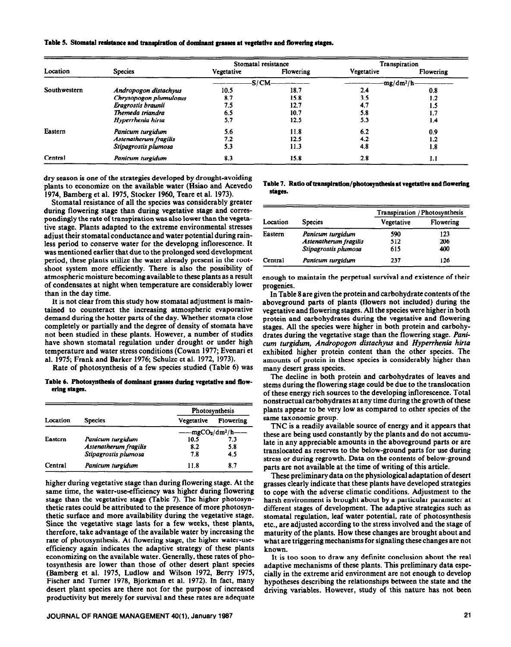Table 5. Stomatal resistance and transpiration of dominant grasses at vegetative and flowering stages.

|              | <b>Species</b>         |                   | Stomatal resistance | <b>Transpiration</b> |              |  |
|--------------|------------------------|-------------------|---------------------|----------------------|--------------|--|
| Location     |                        | <b>Vegetative</b> | Flowering           | Vegetative           | Flowering    |  |
|              |                        |                   | -S/CM——————         |                      | $-mg/dm^2/h$ |  |
| Southwestern | Andropogon distachyus  | 10.5              | 18.7                | 2.4                  | 0.8          |  |
|              | Chrysopogon plumulosus | 8.7               | 15.8                | 3.5                  | 1.2          |  |
|              | Eragrostis braunii     | 7.5               | 12.7                | 4.7                  | 1.3          |  |
|              | Themeda triandra       | 6.5               | 10.7                | 5.8                  |              |  |
|              | Hyperrhenia hirta      | 5.7               | 12.5                | 5.3                  | 1.4          |  |
| Eastern      | Panicum turgidum       | 5.6               | 11.8                | 6.2                  | 0.9          |  |
|              | Astenatherum fragilis  | 7.2               | 12.5                | 4.2                  | 1.2          |  |
|              | Stipagrostis plumosa   | 5.3               | 11.3                | 4.8                  | 1.8          |  |
| Central      | Panicum turgidum       | 8.3               | 15.8                | 2.8                  | 1. I         |  |

dry season is one of the strategies developed by drought-avoiding plants to economize on the available water (Hsiao and Acevedo 1974, Bamberg et al. 1975, Stocker 1960, Teare et al. 1973).

Stomatal resistance of all the species was considerably greater during flowering stage than during vegetative stage and correspondingly the rate of transpiration was also lower than the vegetative stage. Plants adapted to the extreme environmental stresses adjust their stomatal conductance and water potential during rainless period to conserve water for the developng inflorescence. It was mentioned earlier that due to the prolonged seed development period, these plants utilize the water already present in the rootshoot system more efficiently. There is also the possibility of atmospheric moisture becoming available to these plants as a result of condensates at night when temperature are considerably lower than in the day time.

It is not clear from this study how stomatal adjustment is maintained to counteract the increasing atmospheric evaporative demand during the hotter parts of the day. Whether stomata close completely or partially and the degree of density of stomata have not been studied in these plants. However, a number of studies have shown stomatal regulation under drought or under high temperature and water stress conditions (Cowan 1977; Evenari et al. 1975; Frank and Barker 1976; Schulze et al. 1972, 1973).

Rate of photosynthesis of a few species studied (Table 6) was

Table 6. Photosynthesis of dominant grasses during vegetative and flowering stages.

| Location |                       | Photosynthesis    |           |  |  |  |
|----------|-----------------------|-------------------|-----------|--|--|--|
|          | <b>Species</b>        | Vegetative        | Flowering |  |  |  |
|          |                       | $-mgCO2/dm2/h$ —— |           |  |  |  |
| Eastern  | Panicum turgidum      | 10.5              | 7.3       |  |  |  |
|          | Astenatherum fragilis | 8.2               | 5.8       |  |  |  |
|          | Stipagrostis plumosa  | 7.8               | 4.5       |  |  |  |
| Central  | Panicum turgidum      | 11.8              | 8.7       |  |  |  |

higher during vegetative stage than during flowering stage. At the same time, the water-use-efficiency was higher during flowering stage than the vegetative stage (Table 7). The higher photosynthetic rates could be attributed to the presence of more photosynthetic surface and more availability during the vegetative stage. Since the vegetative stage lasts for a few weeks, these plants, therefore, take advantage of the available water by increasing the rate of photosynthesis. At flowering stage, the higher water-useefficiency again indicates the adaptive strategy of these plants economizing on the available water. Generally, these rates of photosynthesis are lower than those of other desert plant species (Bamberg et al. 1975, Ludlow and Wilson 1972, Berry 1975, Fischer and Turner 1978, Bjorkman et al. 1972). In fact, many desert plant species are there not for the purpose of increased productivity but merely for survival and these rates are adequate

JOURNAL OF RANGE MANAGEMENT 40(1), January 1987

Table 7. Ratio of transpiration/photosynthesis at vegetative and flowering stages.

| Location |                       | Transpiration / Photosynthesis |           |  |  |  |
|----------|-----------------------|--------------------------------|-----------|--|--|--|
|          | <b>Species</b>        | Vegetative                     | Flowering |  |  |  |
| Eastern  | Panicum turgidum      | 590                            | 123       |  |  |  |
|          | Astenatherum fragilis | 512                            | 206       |  |  |  |
|          | Stipagrostis plumosa  | 615                            | 400       |  |  |  |
| Central  | Panicum turgidum      | 237                            | 126       |  |  |  |

enough to maintain the perpetual survival and existence of their progenies.

In Table 8 are given the protein and carbohydrate contents of the aboveground parts of plants (flowers not included) during the vegetative and flowering stages. All the species were higher in both protein and carbohydrates during the vegetative and flowering stages. All the species were higher in both protein and carbohydrates during the vegetative stage than the flowering stage. Panicum turgidum, Andropogon distachyus and Hyperrhenia hirta exhibited higher protein content than the other species. The amounts of protein in these species is considerably higher than many desert grass species.

The decline in both protein and carbohydrates of leaves and stems during the flowering stage could be due to the translocation of these energy rich sources to the developing inflorescence. Total nonstructual carbohydrates at any time during the growth of these plants appear to be very low as compared to other species of the same taxonomic group.

TNC is a readily available source of energy and it appears that these are being used constantly by the plants and do not accumulate in any appreciable amounts in the aboveground parts or are translocated as reserves to the below-ground parts for use during stress or during regrowth. Data on the contents of below-ground parts are not available at the time of writing of this article.

These preliminary data on the physiological adaptation of desert grasses clearly indicate that these plants have developed strategies to cope with the adverse climatic conditions. Adjustment to the harsh environment is brought about by a particular parameter at different stages of development. The adaptive strategies such as stomatal regulation, leaf water potential, rate of photosynthesis etc., are adjusted according to the stress involved and the stage of maturity of the plants. How these changes are brought about and what are triggering mechanisms for signaling these changes are not known.

It is too soon to draw any definite conclusion about the real adaptive mechanisms of these plants. This preliminary data especially in the extreme arid environment are not enough to develop hypotheses describing the relationships between the state and the driving variables. However, study of this nature has not been